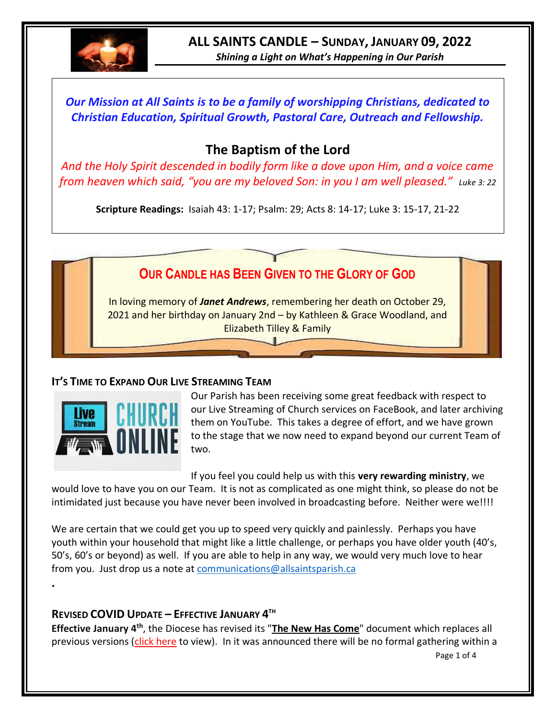

*Shining a Light on What's Happening in Our Parish*

*Our Mission at All Saints is to be a family of worshipping Christians, dedicated to Christian Education, Spiritual Growth, Pastoral Care, Outreach and Fellowship.*

# **The Baptism of the Lord**

*And the Holy Spirit descended in bodily form like a dove upon Him, and a voice came from heaven which said, "you are my beloved Son: in you I am well pleased." Luke 3: 22* 

**Scripture Readings:** Isaiah 43: 1-17; Psalm: 29; Acts 8: 14-17; Luke 3: 15-17, 21-22

# **OUR CANDLE HAS BEEN GIVEN TO THE GLORY OF GOD**

In loving memory of *Janet Andrews*, remembering her death on October 29, 2021 and her birthday on January 2nd – by Kathleen & Grace Woodland, and Elizabeth Tilley & Family

### **IT'S TIME TO EXPAND OUR LIVE STREAMING TEAM**



**.**

Our Parish has been receiving some great feedback with respect to our Live Streaming of Church services on FaceBook, and later archiving them on YouTube. This takes a degree of effort, and we have grown to the stage that we now need to expand beyond our current Team of two.

If you feel you could help us with this **very rewarding ministry**, we

would love to have you on our Team. It is not as complicated as one might think, so please do not be intimidated just because you have never been involved in broadcasting before. Neither were we!!!!

We are certain that we could get you up to speed very quickly and painlessly. Perhaps you have youth within your household that might like a little challenge, or perhaps you have older youth (40's, 50's, 60's or beyond) as well. If you are able to help in any way, we would very much love to hear from you. Just drop us a note at [communications@allsaintsparish.ca](mailto:communications@allsaintsparish.ca)

### **REVISED COVID UPDATE – EFFECTIVE JANUARY 4 TH**

Page 1 of 4 **Effective January 4th**, the Diocese has revised its "**[The New Has Come](https://anglicanenl.net/home/wp-content/uploads/2022/01/Guidelines-under-Modified-Level-4-January-4-2022.pdf)**" document which replaces all previous versions [\(click here](https://anglicanenl.net/home/wp-content/uploads/2022/01/Guidelines-under-Modified-Level-4-January-4-2022.pdf) to view). In it was announced there will be no formal gathering within a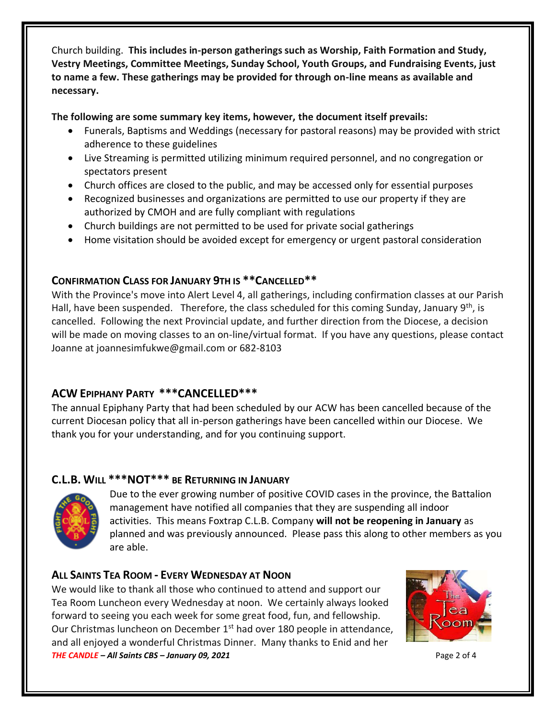Church building. **This includes in-person gatherings such as Worship, Faith Formation and Study, Vestry Meetings, Committee Meetings, Sunday School, Youth Groups, and Fundraising Events, just to name a few. These gatherings may be provided for through on-line means as available and necessary.**

**The following are some summary key items, however, the document itself prevails:**

- Funerals, Baptisms and Weddings (necessary for pastoral reasons) may be provided with strict adherence to these guidelines
- Live Streaming is permitted utilizing minimum required personnel, and no congregation or spectators present
- Church offices are closed to the public, and may be accessed only for essential purposes
- Recognized businesses and organizations are permitted to use our property if they are authorized by CMOH and are fully compliant with regulations
- Church buildings are not permitted to be used for private social gatherings
- Home visitation should be avoided except for emergency or urgent pastoral consideration

## **CONFIRMATION CLASS FOR JANUARY 9TH IS \*\*CANCELLED\*\***

With the Province's move into Alert Level 4, all gatherings, including confirmation classes at our Parish Hall, have been suspended. Therefore, the class scheduled for this coming Sunday, January  $9<sup>th</sup>$ , is cancelled. Following the next Provincial update, and further direction from the Diocese, a decision will be made on moving classes to an on-line/virtual format. If you have any questions, please contact Joanne at joannesimfukwe@gmail.com or 682-8103

## **ACW EPIPHANY PARTY \*\*\*CANCELLED\*\*\***

The annual Epiphany Party that had been scheduled by our ACW has been cancelled because of the current Diocesan policy that all in-person gatherings have been cancelled within our Diocese. We thank you for your understanding, and for you continuing support.

## **C.L.B. WILL \*\*\*NOT\*\*\* BE RETURNING IN JANUARY**



Due to the ever growing number of positive COVID cases in the province, the Battalion management have notified all companies that they are suspending all indoor activities. This means Foxtrap C.L.B. Company **will not be reopening in January** as planned and was previously announced. Please pass this along to other members as you are able.

## **ALL SAINTS TEA ROOM - EVERY WEDNESDAY AT NOON**

*THE CANDLE – All Saints CBS – January 09, 2021* Page 2 of 4 We would like to thank all those who continued to attend and support our Tea Room Luncheon every Wednesday at noon. We certainly always looked forward to seeing you each week for some great food, fun, and fellowship. Our Christmas luncheon on December  $1<sup>st</sup>$  had over 180 people in attendance, and all enjoyed a wonderful Christmas Dinner. Many thanks to Enid and her

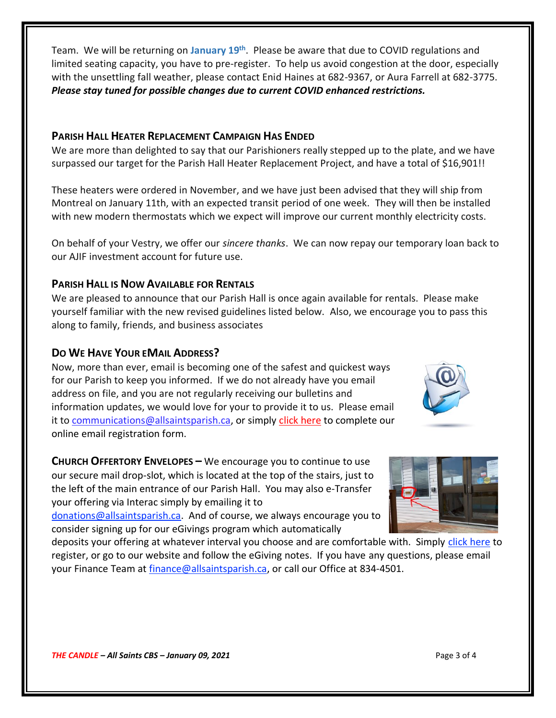Team. We will be returning on January 19<sup>th</sup>. Please be aware that due to COVID regulations and limited seating capacity, you have to pre-register. To help us avoid congestion at the door, especially with the unsettling fall weather, please contact Enid Haines at 682-9367, or Aura Farrell at 682-3775. *Please stay tuned for possible changes due to current COVID enhanced restrictions.*

#### **PARISH HALL HEATER REPLACEMENT CAMPAIGN HAS ENDED**

We are more than delighted to say that our Parishioners really stepped up to the plate, and we have surpassed our target for the Parish Hall Heater Replacement Project, and have a total of \$16,901!!

These heaters were ordered in November, and we have just been advised that they will ship from Montreal on January 11th, with an expected transit period of one week. They will then be installed with new modern thermostats which we expect will improve our current monthly electricity costs.

On behalf of your Vestry, we offer our *sincere thanks*. We can now repay our temporary loan back to our AJIF investment account for future use.

#### **PARISH HALL IS NOW AVAILABLE FOR RENTALS**

We are pleased to announce that our Parish Hall is once again available for rentals. Please make yourself familiar with the new revised guidelines listed below. Also, we encourage you to pass this along to family, friends, and business associates

#### **DO WE HAVE YOUR EMAIL ADDRESS?**

Now, more than ever, email is becoming one of the safest and quickest ways for our Parish to keep you informed. If we do not already have you email address on file, and you are not regularly receiving our bulletins and information updates, we would love for your to provide it to us. Please email it to [communications@allsaintsparish.ca,](mailto:communications@allsaintsparish.ca?subject=eMail%20Address%20Update) or simply [click here](http://allsaintsparish.ca/email_updates) to complete our online email registration form.

**CHURCH OFFERTORY ENVELOPES –** We encourage you to continue to use our secure mail drop-slot, which is located at the top of the stairs, just to the left of the main entrance of our Parish Hall. You may also e-Transfer your offering via Interac simply by emailing it to

[donations@allsaintsparish.ca.](mailto:donations@allsaintsparish.ca) And of course, we always encourage you to consider signing up for our eGivings program which automatically

deposits your offering at whatever interval you choose and are comfortable with. Simply [click here](http://allsaintsparish.ca/egiving-online-information-form) to register, or go to our website and follow the eGiving notes. If you have [any](https://wfsites-to.websitecreatorprotool.com/870a5dd5.com/Admin/%7BSK_NODEID__22939341__SK%7D) questions, please email your Finance Team at [finance@allsaintsparish.ca,](mailto:finance@allsaintsparish.ca) or call our Office at 834-4501.